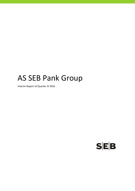# AS SEB Pank Group

Interim Report of Quarter III 2016

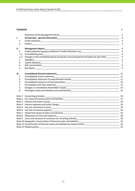## **Contents** P.

|            |                                                                                                                                                                                                                                | $\overline{2}$      |
|------------|--------------------------------------------------------------------------------------------------------------------------------------------------------------------------------------------------------------------------------|---------------------|
| ı.         |                                                                                                                                                                                                                                | $\overline{3}$      |
| 1.         |                                                                                                                                                                                                                                | 3                   |
| 2.         |                                                                                                                                                                                                                                | 3                   |
| II.        |                                                                                                                                                                                                                                | 4                   |
| 1.         | Credit institution's group as defined in Credit Institutions Law___________________________________                                                                                                                            | $\overline{4}$      |
| 1.1.       | Consolidated group                                                                                                                                                                                                             | $\overline{4}$      |
| 1.2.<br>2. | Changes in the consolidated group during the accounting period and plans for year 2016___________<br>Highlights                                                                                                                | $\overline{4}$<br>5 |
| 3.         |                                                                                                                                                                                                                                | $\overline{7}$      |
| 4.         |                                                                                                                                                                                                                                | 9                   |
| 5.         |                                                                                                                                                                                                                                | 9                   |
| III.       |                                                                                                                                                                                                                                | 11                  |
| 1.         |                                                                                                                                                                                                                                | 11                  |
| 2.         |                                                                                                                                                                                                                                |                     |
| 3.         |                                                                                                                                                                                                                                |                     |
| 4.         |                                                                                                                                                                                                                                |                     |
| 5.         |                                                                                                                                                                                                                                | 14                  |
| 6.         |                                                                                                                                                                                                                                | 15                  |
|            |                                                                                                                                                                                                                                | 16                  |
|            |                                                                                                                                                                                                                                |                     |
|            | Note 3 Interest and similar incomerse and state in the context of the state of the state of the state of the state of the state of the state of the state of the state of the state of the state of the state of the state of  | 19                  |
|            |                                                                                                                                                                                                                                | 19                  |
|            |                                                                                                                                                                                                                                | 19                  |
|            |                                                                                                                                                                                                                                | 20                  |
| Note 7     | Impairment losses on loans and advances experience and the control of the control of the control of the control of the control of the control of the control of the control of the control of the control of the control of th |                     |
|            |                                                                                                                                                                                                                                |                     |
|            |                                                                                                                                                                                                                                |                     |
|            |                                                                                                                                                                                                                                |                     |
|            | Note 11 Concentration of financial assets and liabilities by industry sector<br>122                                                                                                                                            |                     |
|            | Note 12 Related parties and the state of the state of the state of the state of the state of the state of the state of the state of the state of the state of the state of the state of the state of the state of the state of | 24                  |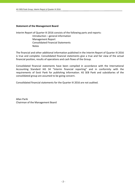## **Statement of the Management Board**

Interim Report of Quarter III 2016 consists of the following parts and reports:

 Introduction – general information Management Report Consolidated Financial Statements Notes

The financial and other additional information published in the Interim Report of Quarter III 2016 is true and complete. Consolidated financial statements give a true and fair view of the actual financial position, results of operations and cash flows of the Group.

Consolidated financial statements have been compiled in accordance with the International Accounting Standard IAS 34 "Interim financial reporting" and in conformity with the requirements of Eesti Pank for publishing information. AS SEB Pank and subsidiaries of the consolidated group are assumed to be going concern.

Consolidated financial statements for the Quarter III 2016 are not audited.

Allan Parik Chairman of the Management Board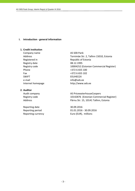## **I. Introduction ‐ general information**

## **1. Credit institution**

Company name AS SEB Pank Registry date 08.12.1995 Phone  $+3726655100$ Fax +372 6 655 102 SWIFT EEUHEE2X e-mail info@seb.ee

## **2. Auditor**

Reporting date 30.09.2016 Reporting currency **EUR** Euro (EUR), millions

Address Tornimäe Str. 2, Tallinn 15010, Estonia Registered in Republic of Estonia Registry code 10004252 (Estonian Commercial Register) Internet homepage http://www.seb.ee

Audit company **AS PricewaterhouseCoopers** Registry code 10142876 (Estonian Commercial Register) Address **Pärnu Str. 15, 10141 Tallinn, Estonia** 

Reporting period 01.01.2016 ‐ 30.09.2016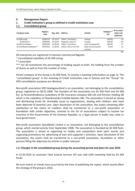## **II. Management Report**

| 1.1.<br><b>Consolidated group</b> |                         |                   |                     |                  |                   |                                         |
|-----------------------------------|-------------------------|-------------------|---------------------|------------------|-------------------|-----------------------------------------|
| Company name                      | <b>Registry</b><br>code | Reg. date Address |                     | Activity         | Holding***<br>(%) | At an acqui-<br>sition cost<br>(EURmio) |
| AS SEB Liising                    | 10281767                | 03.10.97          | Tallinn, Tornimäe 2 | Leasing          | 100.0%            | 1.8                                     |
| AS Rentacar*                      | 10303546                | 20.10.97          | Haapsalu, Karja 27  | Leasing          | 100.0%            | 0.0                                     |
| <b>AS SEB Varahaldus</b>          | 10035169                | 22.05.96          | Tallinn, Tornimäe 2 | Asset management | 100.0%            | 2.7                                     |

## **1. Credit institution's group as defined in Credit Institutions Law**

AS Sertifitseerimiskeskus\*\* 10747013 27.03.01 Tallinn, Pärnu mnt 141 Data communication

All enterprises are registered in Estonian Commercial Register.

\* Consolidated subsidiary of AS SEB Liising.

\*\* Associates.

\*\*\* For all investments the percentage of holding equals to both, the holding from the number of shares as well as from the number of votes.

services

25.0% 1.0

**5.5**

Parent company of the Group is AS SEB Pank, its activity is banking (information on page 3). The "consolidated group" in the meaning of Credit Institutions Law in Estonia and the "Group" for IFRS consolidation purposes are identical.

Non‐profit association SEB Heategevusfond is an association, not belonging to the consolidation group, registered on 06.01.2006. The founders of the association are AS SEB Pank and AS SEB Elu‐ ja Pensionikindlustus (subsidiary of life insurance company SEB Life and Pension Holding AB which is the subsidiary of Skandinaviska Enskilda Banken AB). The association is aimed at raising and distributing funds for charitable cause to organisations, dealing with children, who have been deprived of parental care. Upon dissolution of the association, the assets remaining after satisfaction of the claims of creditors shall be transferred to a non‐profit association or foundation with similar objectives, entered to the list of associations subject to income tax incentive of the Government of the Estonian Republic, or a legal person in public law, state or local government.

Non‐profit association Spordiklubi United is an association, not belonging to the consolidation group, which started activity from September 2008. The association is founded by AS SEB Pank. The association is aimed at organizing on hobby and competition level sport events and organizing promotions for advertising of own and supporter´s activities. Upon dissolution of the association, the assets shall be transferred to a non‐profit association, foundation or other persons filling the objectives by articles in public interests.

# **1.2. Changes in the consolidated group during the accounting period and plans for year 2016**

In 31.05.2016 an associate Tieto Estonia Services OÜ was sold (20% owneship held by AS SEB Pank).

No such events or trends have occurred by the time of publishing the report, which would affect the strategy of the group in 2016.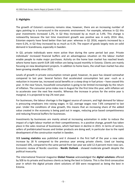## **2. Highlights**

The growth of Estonia's economy remains slow; however, there are an increasing number of signs pointing to a turnaround in the economic environment. For example, whereas in Q1 this year investments increased 1.2%, in Q2 they increased by as much as 5.4%. This change is noteworthy because the last time investment growth was positive was in early 2014. Also, Estonian exports have fared better than last year: whereas in Q1 2016, exports increased by a mere 0.2%, in Q2 they increased by as much as 4.1%. The export of goods largely rests on solid demand in Scandinavia, especially in Sweden.

In Q3, private individuals were more active than during the same period last year. Private individuals' increased financial buffers and an advantageous situation on the labour market enable people to make major purchases. Activity on the home loan market has reached levels where home loans worth EUR 100 million are being issued monthly in Estonia. Clients are mainly focusing on new development projects. In addition to home loans, the small loan market has also been growing steadily since 2015.

Levels of growth in private consumption remain good; however, its pace has slowed somewhat compared to last year. Several factors that accelerated consumption last year –such as a reduction in income tax, increased social benefits or a steep drop in fuel prices – have ceased this year. In the near future, household consumption is going to be limited increasingly by the return of inflation. The consumer price index rose in August for the first time this year, with inflation set to accelerate over the next few months. Whereas the increase in prices for the entire year is marginal, it is projected to top 2% next year.

For businesses, the labour shortage is the biggest source of concern, and high demand for labour is pressuring employers into raising wages. In Q2, average wages rose 7.6% compared to last year. Under the conditions of slow growth, this means that an increasing share of the added value created in the economy is being paid out in wages, reducing price based competitiveness and reducing financial buffers for businesses.

Investments by businesses are mainly aimed at increasing automation in order to reduce the impact of a tight labour market on their competitiveness. In a positive change, growth has taken place in the sales revenue of businesses, which had been in decline in 2015. In terms of sectors, sellers of prefabricated houses and timber products are doing well, in particular due to the rapid development of the construction market in Sweden.

SEB **Leasing statistics** was published and it showed in the first half of the year a new sales increase by 18 % compared to the previous year among private clients. Used car leasing increased 10%, compared to the same period from last year we sold 12.4 percent more new cars. Economic review of Nordic countries ‐ **Nordic Outlook** ‐ showed moderate growth despite the political insecurity.

The international financial magazine **Global Finance** acknowledged the **digital solutions** offered by SEB to its private and business clients as being the best in Estonia. This is the third consecutive year in which the digital private client solutions of SEB were recognized as being the best in Estonia.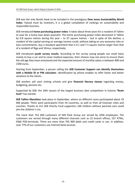SEB was the only Nordic bank to be included in the prestigious **Dow Jones Sustainability World Index**. Valued most by investors, it is a global compilation of rankings on sustainability and responsible business.

SEB introduced **home purchasing power index**: it takes about three years for a resident of Tallinn to save for a home loan down payment. The home purchasing power index decreased in Tallinn by 0.8 square metres during the year – to 37 square metres – but in spite of the decline, a resident of the capital earning an average income could, without taking on any excessive risks or loan commitments, buy a standard apartment that is 9.1 and 7.5 square metres larger than that of a resident of Riga and Vilnius, respectively.

SEB introduced **youth survey results**. According to the survey young people use small loans mainly to buy a car and to cover medical expenses, their choices may not serve to ensure them the old age they have envisioned and the expected amount of monthly salary is between 800 and 1500 euros.

Starting from September, a person calling the **SEB Customer Support can identify themselves with a Mobile ID or PIN calculator**. Identification by phone enables to offer faster and better solutions to the clients.

SEB workers will start visiting schools and give **financial literacy classes** regarding money, budgeting, pension etc.

Supported by SEB: the 10th season of the largest business idea competition in Estonia **"Brain hunt"** has started.

**SEB Tallinn Marathon** took place in September, where on different races participated about 19 000 people. There were participants from 54 countries, as well as from all Estonian cities and counties. Thanks to 311 SEB Charity Fund supporters 100 children without parental care could join the children´s run.

The more than 752 600 customers of SEB Pank Group are served by 1056 employees. The customers are served through many different channels such as 22 branch offices, 237 ATMs, 9366 POS-terminals. There are more than 765 900 debit and credit cards in use. In addition, over 77% of our customers use internet bank services.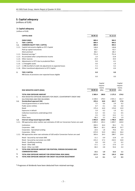## **3. Capital adequacy**

(millions of EUR)

## **3. Capital adequacy**

(millions of EUR)

|        | <b>CAPITAL BASE</b>                                                    | 30.09.16 | 31.12.15 |
|--------|------------------------------------------------------------------------|----------|----------|
|        | <b>OWN FUNDS</b>                                                       | 889.4    | 904.5    |
| 1.     | <b>TIER 1 CAPITAL</b>                                                  | 889.4    | 904.5    |
| 1.1.   | <b>COMMON EQUITY TIER 1 CAPITAL</b>                                    | 889.4    | 904.5    |
| 1.1.1. | Capital instruments eligible as CET1 Capital                           | 128.8    | 128.8    |
|        | Paid up capital instruments                                            | 42.5     | 42.5     |
|        | Share premium                                                          | 86.3     | 86.3     |
| 1.1.2. | Retained earnings *                                                    | 751.4    | 751.4    |
| 1.1.3. | Accumulated other comprehensive income                                 | 1.0      | 12.8     |
| 1.1.4. | Other reserves                                                         | 19.4     | 19.4     |
| 1.1.5. | Adjustments to CET1 due to prudential filters                          | 0.0      | $-0.1$   |
| 1.1.6. | (-) Intangible assets                                                  | $-3.6$   | $-1.9$   |
|        | 1.1.7. (-) IRB shortfall of credit risk adjustments to expected losses | $-7.2$   | $-5.5$   |
| 1.1.8. | Other transitional adjustments to CET1 Capital                         | $-0.4$   | $-0.4$   |
| 2.     | <b>TIER 2 CAPITAL</b>                                                  | 0.0      | 0.0      |
|        | IRB Excess of provisions over expected losses eligible                 | 0.0      | 0.0      |

|        |                                                                                    |           | Capital  |             | Capital  |
|--------|------------------------------------------------------------------------------------|-----------|----------|-------------|----------|
|        |                                                                                    |           | require- |             | require- |
|        |                                                                                    |           | ments    |             | ments    |
|        | RISK WEIGHTED ASSETS (RWA)                                                         | 30.09.16  | (8%)     | 31.12.15    | (8%)     |
|        | <b>TOTAL RISK EXPOSURE AMOUNT</b>                                                  | 2 3 6 0.4 | 188.8    | 2 175.3     | 174.0    |
| 1.     | RISK WEIGHTED EXPOSURE AMOUNTS FOR CREDIT, COUNTERPARTY CREDIT AND                 |           |          |             |          |
|        | DILUTION RISKS AND FREE DELIVERIES                                                 | 2 2 2 8.6 | 178.3    | 2 0 2 1 . 1 | 161.7    |
| 1.1.   | Standardised approach (SA)                                                         | 235.6     | 18.8     | 222.7       | 17.8     |
|        | Central governments or central banks                                               | 7.5       | 0.6      | 2.9         | 0.2      |
|        | Public sector entities                                                             | 0.7       | 0.1      | 0.6         | 0.0      |
|        | Retail                                                                             | 175.4     | 14.0     | 174.0       | 13.9     |
|        | Exposures in default                                                               | 2.0       | 0.2      | 1.6         | 0.1      |
|        | Collective investments undertakings (CIU)                                          | 6.3       | 0.5      | 6.1         | 0.5      |
|        | Equity                                                                             | 3.5       | 0.3      | 13.2        | 1.1      |
|        | Other items                                                                        | 40.2      | 3.2      | 24.3        | 1.9      |
| 1.2.   | Internal ratings based Approach (IRB)                                              | 1993.0    | 159.4    | 1798.4      | 143.9    |
| 1.2.1. | IRB approaches when neither own estimates of LGD nor Conversion Factors are used   | 1689.4    | 135.2    | 1499.7      | 120.0    |
|        | Institutions                                                                       | 204.5     | 16.4     | 94.1        | 7.5      |
|        | Corporates - SME                                                                   | 788.4     | 63.1     | 695.8       | 55.7     |
|        | Corporates - Specialised Lending                                                   | 22.6      | 1.8      | 79.6        | 6.4      |
|        | Corporates - Other                                                                 | 673.9     | 53.9     | 630.2       | 50.4     |
|        | 1.2.2. IRB approaches when own estimates of LGD and/or Conversion Factors are used | 303.6     | 24.3     | 298.7       | 23.9     |
|        | Retail - Secured by real estate SME                                                | 11.1      | 0.9      | 12.8        | 1.0      |
|        | Retail - Secured by real estate non-SME                                            | 215.2     | 17.2     | 210.5       | 16.8     |
|        | Retail - Qualifying revolving                                                      | 0.0       | 0.0      | 2.2         | 0.2      |
|        | Retail - Other SME                                                                 | 17.1      | 1.4      | 17.6        | 1.4      |
|        | Retail - Other non-SME                                                             | 60.2      | 4.8      | 55.6        | 4.4      |
| 2.     | TOTAL RISK EXPOSURE AMOUNT FOR POSITION, FOREIGN EXCHANGE AND                      |           |          |             |          |
|        | <b>COMMODITIES RISKS</b>                                                           | 13.1      | 1.0      | 13.2        | 1.1      |
| 3.     | TOTAL RISK EXPOSURE AMOUNT FOR OPERATIONAL RISK (AMA)                              | 117.5     | 9.4      | 135.3       | 10.8     |
| 4.     | TOTAL RISK EXPOSURE AMOUNT FOR CREDIT VALUATION ADJUSTMENT                         | 1.2       | 0.1      | 5.7         | 0.5      |

\* Prognoses of dividends have been deducted from retained earnings.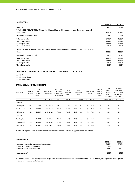#### **CAPITAL RATIOS**

|                                                                                                                         | 30.09.16  | 31.12.15    |
|-------------------------------------------------------------------------------------------------------------------------|-----------|-------------|
| <b>OWN FUNDS</b><br>TOTAL RISK EXPOSURE AMOUNT Basel III (without additional risk exposure amount due to application of | 889.4     | 904.5       |
| Basel I floor)                                                                                                          | 2 3 6 0.4 | 2 1 7 5 . 3 |
| Own fund requirement (8%)                                                                                               | 188.8     | 174.0       |
| Total capital ratio                                                                                                     | 37.68%    | 41.58%      |
| Tier 1 Capital ratio                                                                                                    | 37.68%    | 41.58%      |
| CET1 Capital ratio                                                                                                      | 37.68%    | 41.58%      |
| Tier 2 Capital ratio                                                                                                    | 0.00%     | 0.00%       |
| TOTAL RISK EXPOSURE AMOUNT Basel III (with additional risk exposure amount due to application of Basel                  |           |             |
| I floor)                                                                                                                | 3 106.5   | 2966.7      |
| Own fund requirement (8%)                                                                                               | 248.5     | 237.3       |
| Total capital ratio                                                                                                     | 28.63%    | 30.49%      |
| Tier 1 Capital ratio                                                                                                    | 28.63%    | 30.49%      |
| CET1 Capital ratio                                                                                                      | 28.63%    | 30.49%      |
| Tier 2 Capital ratio                                                                                                    | 0.00%     | 0.00%       |

#### **MEMBERS OF CONSOLIDATION GROUP, INCLUDED TO CAPITAL ADEQUACY CALCULATION**

AS SEB Pank AS SEB Liising Group AS SEB Varahaldus

## **CAPITAL REQUIREMENTS AND BUFFERS**

| Own funds            | Capital<br>amount | Total<br>risk<br>exposure<br>amount * | Base capital<br>requirement |              | Own funds<br>$Surplus(+)$<br>of base capital<br>requirement | Capital<br>adequacy<br>ratio | Capital<br>conservation<br>buffer |                  |    | Systemic risk<br>buffer | Counter-<br>cyclical<br>capital<br>buffer | Total<br>capital<br>require-<br>ments,<br>incl. buffers | Own funds<br>$Surplus(+)$<br>of total capital<br>requirements,<br>incl. buffers |
|----------------------|-------------------|---------------------------------------|-----------------------------|--------------|-------------------------------------------------------------|------------------------------|-----------------------------------|------------------|----|-------------------------|-------------------------------------------|---------------------------------------------------------|---------------------------------------------------------------------------------|
|                      | 1                 | 2                                     | 3                           | $4=2\times3$ | $5 = 1 - 4$                                                 | $6=1/2$                      | $\overline{7}$                    | $8 = 2 \times 7$ | 9  | $10 = 2 \times 9$       | 11                                        | $12=4+8+10+11$                                          | $14 = 1 - 12$                                                                   |
| 30.09.16             |                   |                                       |                             |              |                                                             |                              |                                   |                  |    |                         |                                           |                                                         |                                                                                 |
| <b>Total capital</b> | 889.4             | 2 3 6 0.4                             | 8%                          | 188.8        | 700.6                                                       | 37.68%                       | 2.5%                              | 59.0             | 3% | 70.8                    | 0.0                                       | 318.7                                                   | 570.7                                                                           |
| Tier 1 capital       | 889.4             | 2 3 6 0.4                             | 6%                          | 141.6        | 747.8                                                       | 37.68%                       | 2.5%                              | 59.0             | 3% | 70.8                    | 0.0                                       | 271.5                                                   | 617.9                                                                           |
| CET1 capital         | 889.4             | 2 3 6 0.4                             | 4.5%                        | 106.2        | 783.2                                                       | 37.68%                       | 2.5%                              | 59.0             | 3% | 70.8                    | 0.0                                       | 236.0                                                   | 653.4                                                                           |
| 31.12.15             |                   |                                       |                             |              |                                                             |                              |                                   |                  |    |                         |                                           |                                                         |                                                                                 |
| Total capital        | 904.5             | 2 175.3                               | 8%                          | 174.0        | 730.5                                                       | 41.58%                       | 2.5%                              | 54.4             | 2% | 43.5                    | -                                         | 271.9                                                   | 632.6                                                                           |
| Tier 1 capital       | 904.5             | 2 175.3                               | 6%                          | 130.5        | 774.0                                                       | 41.58%                       | 2.5%                              | 54.4             | 2% | 43.5                    | -                                         | 228.4                                                   | 676.1                                                                           |
| CET1 capital         | 904.5             | 2 175.3                               | 4.5%                        | 97.9         | 806.6                                                       | 41.58%                       | 2.5%                              | 54.4             | 2% | 43.5                    | ۰                                         | 195.8                                                   | 708.7                                                                           |

\* Total risk exposure amount without additional risk exposure amount due to application of Basel I floor

#### **LEVERAGE RATIO**

|                                                 | 30.09.16  | 31.12.15   |
|-------------------------------------------------|-----------|------------|
| Exposure measure for leverage ratio calculation | 6 0 2 6.7 | 5 708.3    |
| of which on balance sheet items                 | 5 5 6 8.4 | 5 2 2 5 .9 |
| of which off balance sheet items                | 458.3     | 482.4      |
|                                                 |           |            |
| Leverage ratio*                                 | 14.8%     | 15.9%      |

\*In Annual report of reference period Leverage Ratio was calculated as the simple arithmetic mean of the monthly leverage ratios over a quarter. In Current report as of end of period.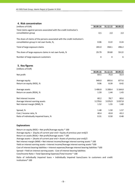## **4. Risk concentration**

| (millions of EUR)                                                                                                       | 30.09.16 | 31.12.15 | 30.09.15 |
|-------------------------------------------------------------------------------------------------------------------------|----------|----------|----------|
| Total claims against persons associated with the credit institution's<br>consolidation group                            | 0.5      | 2.0      | 2.0      |
| The share of claims of the persons associated with the credit institution's<br>consolidation group in net own funds, %, | 0.06     | 0.22     | 0.24     |
| Total of large exposure claims                                                                                          | 265.0    | 358.1    | 496.2    |
| The share of large exposure claims in net own funds, %                                                                  | 29.79    | 39.60    | 59.22    |
| Number of large exposure customers                                                                                      | 4        | 4        | 6        |

## **5. Key figures**

| (millions of EUR)                       |           |            |             |
|-----------------------------------------|-----------|------------|-------------|
|                                         | 30.09.16  | 31.12.15   | 30.09.15    |
| Net profit                              | 64.5      | 75.0       | 55.4        |
| Average equity                          | 949.0     | 893.6      | 877.6       |
| Return on equity (ROE), %               | 9.06      | 8.39       | 8.42        |
| Average assets                          | 5 406.8   | 5 208.4    | 5 1 6 4 . 8 |
| Return on assets (ROA), %               | 1.59      | 1.44       | 1.43        |
| Net interest income                     | 60.2      | 78.7       | 60.6        |
| Average interest earning assets         | 5 2 7 8.6 | 5 0 7 6 .9 | 5 0 3 7 . 8 |
| Net interest margin (NIM), %            | 1.52      | 1.55       | 1.60        |
| Spread, %                               | 1.48      | 1.50       | 1.57        |
| Cost / Income ratio, %                  | 40.4      | 43.8       | 43.2        |
| Ratio of individually impaired loans, % | 0.31      | 0.50       | 0.48        |

## **Explanations**

Return on equity (ROE) = Net profit/Average equity \* 100 Average equity = (Equity of current year end + Equity of previous year end)/2 Return on assets (ROA) = Net profit/Average assets \* 100 Average assets = (Assets of current year end + Assets of previous year end)/2 Cost of interest bearing liabilities = Interest expenses/Average interest bearing liabilities \*100 Cost/Income Ratio = Total Operating Expenses/Total Income \* 100 Net interest margin (NIM) = Net interest income/Average interest earning assets \* 100 Yield on interest earning assets = Interest income/Average interest earning assets \*100 Ratio of individually impaired loans = Individually impaired loans/Loans to customers and credit institutions\* 100 Spread = Yield on interest earning assets ‐ Cost of interest bearing liabilities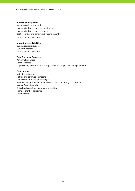#### **Interest earning assets:**

Balances with central bank Loans and advances to credit institutions Loans and advances to customers Debt securities and other fixed income securities (all without accrued interests)

#### **Interest bearing liabilities:**

Due to credit institutions Due to customers (all without accrued interests)

#### **Total Operating Expenses:**

Personnel expenses Other expenses Depreciation, amortisation and impairment of tangible and intangible assets

#### **Total Income:**

Net interest income Net fee and commission income Net income from foreign exchange Gains less losses from financial assets at fair value through profit or loss Income from dividends Gains less losses from investment securities Share of profit of associates Other income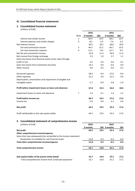# **III. Consolidated financial statements**

## **1. Consolidated income statement** (millions of EUR)

|                                                               |                | 2016     |        | 2015     |        |
|---------------------------------------------------------------|----------------|----------|--------|----------|--------|
|                                                               | Note           | 9 months | QIII   | 9 months | QIII   |
| Interest and similar income                                   | 3              | 68.4     | 23.0   | 68.2     | 22.2   |
| Interest expenses and similar charges                         | 4              | $-8.2$   | $-2.9$ | $-7.6$   | $-2.2$ |
| Net Interest Income                                           |                | 60.2     | 20.1   | 60.6     | 20.0   |
| Fee and commission income                                     | 5              | 44.3     | 15.3   | 46.7     | 15.9   |
| Fee and commission expense                                    | 6              | $-11.5$  | $-4.0$ | $-12.7$  | $-4.5$ |
| Net fee and commission income                                 |                | 32.8     | 11.3   | 34.0     | 11.4   |
| Net income from foreign exchange                              |                | 3.3      | 1.0    | 3.7      | 1.1    |
| Gains less losses from financial assets at fair value through |                |          |        |          |        |
| profit or loss                                                |                | 0.5      | 0.4    | 0.6      | 0.1    |
| Gains less losses from investment securities                  |                | 16.3     | 0.0    | $-0.6$   | 0.0    |
| Other income                                                  |                | 0.8      | 0.3    | 0.6      | 0.2    |
| Personnel expenses                                            |                | $-28.5$  | $-9.3$ | $-27.6$  | $-9.0$ |
| Other expenses                                                |                | $-15.2$  | $-3.6$ | $-12.5$  | $-4.0$ |
| Depreciation, amortisation and impairment of tangible and     |                |          |        |          |        |
| intangible assets                                             |                | $-2.7$   | $-0.9$ | $-2.8$   | $-1.0$ |
| Profit before impairment losses on loans and advances         |                | 67.6     | 19.4   | 56.0     | 18.8   |
| Impairment losses on loans and advances                       | $\overline{7}$ | 1.9      | 0.1    | 1.6      | $-1.2$ |
| Profit before income tax                                      |                | 69.5     | 19.5   | 57.6     | 17.6   |
| Income tax                                                    |                | $-5.0$   | 0.0    | $-2.2$   | 0.0    |
| Net profit                                                    |                | 64.5     | 19.5   | 55.4     | 17.6   |
| Profit attributable to the sole equity holder                 |                | 64.5     | 19.5   | 55.4     | 17.6   |
| 2. Consolidated statement of comprehensive income             |                |          |        |          |        |
| (millions of EUR)                                             |                | 2016     |        | 2015     |        |

| (Millions of EUR)                                                    | 2016     |      | 2015                 |        |
|----------------------------------------------------------------------|----------|------|----------------------|--------|
|                                                                      | 9 months |      | <b>QIII</b> 9 months | QIII   |
| Net profit                                                           | 64.5     | 19.5 | 55.4                 | 17.6   |
| Other comprehensive income/expense                                   |          |      |                      |        |
| Items that may subsequently be reclassified to the income statement: |          |      |                      |        |
| Revaluation of available-for-sale financial assets                   | $-11.8$  | 0.3  | $-0.2$               | $-0.4$ |
| Total other comprehensive income/expense                             | $-11.8$  | 0.3  | $-0.2$               | $-0.4$ |
| Total comprehensive income                                           | 52.7     | 19.8 | 55.2                 | 17.2   |
| Sole equity holder of the parent entity (total)                      | 52.7     | 19.8 | 55.2                 | 17.2   |
| -Total comprehensive income from continued operations                | 52.7     | 19.8 | 55.2                 | 17.2   |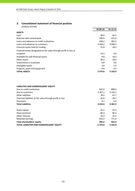# **3. Consolidated statement of financial position**

(millions of EUR)

|                                                                     | 30.09.16    | 31.12.15    |
|---------------------------------------------------------------------|-------------|-------------|
| <b>ASSETS</b>                                                       |             |             |
| Cash                                                                | 38.9        | 42.5        |
| Balances with central bank                                          | 249.9       | 615.0       |
| Loans and advances to credit institutions                           | 928.2       | 392.5       |
| Loans and advances to customers                                     | 4 2 6 0 . 2 | 4 0 9 6 .3  |
| Financial assets held for trading                                   | 25.8        | 28.3        |
| Financial assets designated at fair value through profit or loss at |             |             |
| inception                                                           | 23.3        | $0.0\,$     |
| Available-for-sale financial assets                                 | 8.8         | 18.3        |
| Other assets                                                        | 30.3        | 29.0        |
| Investments in associates                                           | 0.8         | 0.8         |
| Intangible assets                                                   | 3.6         | 1.9         |
| Property, plant and equipment                                       | 9.8         | 9.3         |
| <b>TOTAL ASSETS</b>                                                 | 5 5 7 9 . 6 | 5 2 3 3 . 9 |

## **LIABILITIES AND SHAREHOLDERS' EQUITY**

| Due to credit institutions                                 | 942.6       | 888.6       |
|------------------------------------------------------------|-------------|-------------|
| Due to customers                                           | 3 5 6 7 . 1 | 3 3 1 6 . 1 |
| Other liabilities                                          | 78.2        | 67.7        |
| Financial liabilities at fair value through profit or loss | 26.0        | 28.7        |
| Provisions                                                 | 0.1         | 0.4         |
| <b>Total Liabilities</b>                                   | 4 6 14.0    | 4 3 0 1.5   |
| Share capital                                              | 42.5        | 42.5        |
| Share premium                                              | 86.3        | 86.3        |
| Other reserves                                             | 20.3        | 32.2        |
| Retained earnings                                          | 816.5       | 771.4       |
| Total shareholders' equity                                 | 965.6       | 932.4       |
| <b>TOTAL LIABILITIES AND SHAREHOLDERS' EQUITY</b>          | 5 5 7 9 . 6 | 5 2 3 3 . 9 |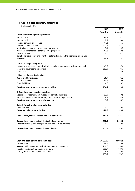## **4. Consolidated cash flow statement**

(millions of EUR)

|                                                                                 | 2016        | 2015     |
|---------------------------------------------------------------------------------|-------------|----------|
|                                                                                 | 9 months    | 9 months |
| I. Cash flows from operating activities                                         |             |          |
| Interest received                                                               | 68.4        | 68.7     |
| Interest paid                                                                   | $-8.1$      | $-8.6$   |
| Fee and commission received                                                     | 44.3        | 46.7     |
| Fee and commission paid                                                         | $-11.5$     | $-12.7$  |
| Net trading income and other operating income                                   | 5.1         | 4.7      |
| Personnel expenses and other operating expenses                                 | $-42.8$     | $-39.5$  |
| Income tax paid                                                                 | $-5.0$      | $-2.2$   |
| Cash flows from operating activities before changes in the operating assets and |             |          |
| <b>liabilities</b>                                                              | 50.4        | 57.1     |
| <b>Changes in operating assets:</b>                                             |             |          |
| Loans and advances to credit institutions and mandatory reserve in central bank | $-43.5$     | $-7.4$   |
| Loans and advances to customers                                                 | $-162.9$    | $-84.7$  |
| Other assets                                                                    | $-2.0$      | 4.9      |
| <b>Changes of operating liabilities:</b>                                        |             |          |
| Due to credit institutions                                                      | 56.7        | $-91.2$  |
| Due to customers                                                                | 250.9       | 9.6      |
| Other liabilities                                                               | 4.8         | 0.9      |
| Cash flow from (used in) operating activities                                   | 154.4       | $-110.8$ |
| II. Cash flows from investing activities                                        |             |          |
| Net increase-/decrease+ of investment portfolio securities                      | 13.9        | $-0.5$   |
| Purchase of investment properties, tangible and intangible assets               | $-4.9$      | $-4.4$   |
| Cash flow from (used in) investing activities                                   | 9.0         | $-4.9$   |
| III. Cash flows from financing activities                                       |             |          |
| Dividends paid                                                                  | $-20.0$     | $-10.0$  |
| Cash used in financing activities                                               | $-20.0$     | $-10.0$  |
| Net decrease/increase in cash and cash equivalents                              | 143.4       | $-125.7$ |
| Cash and cash equivalents at the beginning of period                            | 1012.5      | 1 105.0  |
| Effect of exchange rate changes on cash and cash equivalents                    | 0.0         | 0.0      |
| Cash and cash equivalents at the end of period                                  | 1 1 5 5 . 9 | 979.3    |

| Cash and cash equivalents includes:                      | 30.09.16    | 30.09.15 |
|----------------------------------------------------------|-------------|----------|
| Cash on hand                                             | 38.9        | 39.6     |
| Balances with the central bank without mandatory reserve | 210.0       | 150.0    |
| Liquid deposits in other credit institutions             | 883.7       | 789.7    |
| Trading portfolio and liquidity securities               | 23.3        | 0.0      |
|                                                          | 1 1 5 5 . 9 | 979.3    |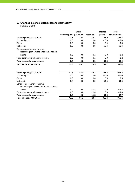# **5. Changes in consolidated shareholders' equity**

(millions of EUR)

|                                                                           |               | <b>Share</b> |                 | <b>Retained</b> | <b>Total</b>  |
|---------------------------------------------------------------------------|---------------|--------------|-----------------|-----------------|---------------|
|                                                                           | Share capital | premium      | <b>Reserves</b> | profit          | shareholders' |
| Year beginning 01.01.2015                                                 | 42.5          | 86.3         | 20.1            | 705.9           | 854.8         |
| Dividend paid                                                             | 0.0           | 0.0          | 0.0             | $-10.0$         | $-10.0$       |
| Other                                                                     | 0.0           | 0.0          | 0.0             | 0.4             | 0.4           |
| Net profit                                                                | 0.0           | 0.0          | 0.0             | 55.4            | 55.4          |
| Other comprehensive income:<br>Net change in available-for-sale financial |               |              |                 |                 |               |
| assets                                                                    | 0.0           | 0.0          | $-0.2$          | 0.0             | $-0.2$        |
| Total other comprehensive income                                          | 0.0           | 0.0          | $-0.2$          | 0.0             | $-0.2$        |
| <b>Total comprehensive income</b>                                         | 0.0           | 0.0          | $-0.2$          | 55.4            | 55.2          |
| <b>Final balance 30.09.2015</b>                                           | 42.5          | 86.3         | 19.9            | 751.7           | 900.4         |
| Year beginning 01.01.2016                                                 | 42.5          | 86.3         | 32.2            | 771.4           | 932.4         |
| Dividend paid                                                             | 0.0           | 0.0          | 0.0             | $-20.0$         | $-20.0$       |
| Other                                                                     | 0.0           | 0.0          | 0.0             | 0.5             | 0.5           |
| Net profit                                                                | 0.0           | 0.0          | 0.0             | 64.5            | 64.5          |
| Other comprehensive income:<br>Net change in available-for-sale financial |               |              |                 |                 |               |
| assets                                                                    | 0.0           | 0.0          | $-11.8$         | 0.0             | $-11.8$       |
| Total other comprehensive income                                          | 0.0           | 0.0          | $-11.8$         | 0.0             | $-11.8$       |
| <b>Total comprehensive income</b>                                         | 0.0           | 0.0          | $-11.8$         | 64.5            | 52.7          |
| <b>Final balance 30.09.2016</b>                                           | 42.5          | 86.3         | 20.4            | 816.4           | 965.6         |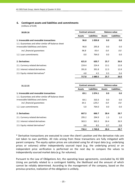# **6. Contingent assets and liabilities and commitments**

(millions of EUR)

| 30.09.16                                            |               | <b>Contract amount</b> |               | <b>Balance value</b> |  |
|-----------------------------------------------------|---------------|------------------------|---------------|----------------------|--|
|                                                     | <b>Assets</b> | <b>Liabilities</b>     | <b>Assets</b> | <b>Liabilities</b>   |  |
| 1. Irrevocable and revocable transactions           | 96.8          | 1059.8                 | 0.0           | 0.0                  |  |
| 1.1. Guarantees and other similar off-balance sheet |               |                        |               |                      |  |
| irrovocable liabilitieas and claims                 | 96.8          | 295.8                  | 0.0           | 0.0                  |  |
| incl. financial guarantees                          | 96.8          | 93.4                   | 0.0           | 0.0                  |  |
| 1.2. Loan commitments                               | 0.0           | 764.0                  | 0.0           | 0.0                  |  |
| 2. Derivatives                                      | 621.0         | 620.7                  | 25.7          | 26.0                 |  |
| 2.1. Currency related derivatives                   | 224.4         | 224.4                  | 13.1          | 12.8                 |  |
| 2.2. Interest related derivatives                   | 391.8         | 391.8                  | 12.3          | 12.8                 |  |
| 2.3. Equity related derivatives*                    | 4.8           | 4.5                    | 0.3           | 0.4                  |  |
|                                                     | 717.8         | 1680.5                 | 25.7          | 26.0                 |  |

| 31.12.15                                            |               | <b>Contract amount</b> | <b>Balance value</b> |                    |  |
|-----------------------------------------------------|---------------|------------------------|----------------------|--------------------|--|
|                                                     | <b>Assets</b> | <b>Liabilities</b>     | <b>Assets</b>        | <b>Liabilities</b> |  |
| 1. Irrevocable and revocable transactions           | 69.1          | 1 0 7 4 . 1            | 0.0                  | 0.0                |  |
| 1.1. Guarantees and other similar off-balance sheet |               |                        |                      |                    |  |
| irrovocable liabilitieas and claims                 | 64.1          | 310.3                  | 0.0                  | 0.0                |  |
| incl. financial quarantees                          | 64.1          | 129.3                  | 0.0                  | 0.0                |  |
| 1.2. Loan commitments                               | 5.0           | 764.0                  | 0.0                  | 0.0                |  |
| 2. Derivatives                                      | 667.3         | 666.7                  | 28.4                 | 28.7               |  |
| 2.1. Currency related derivatives                   | 295.2         | 294.9                  | 1.3                  | 1.0                |  |
| 2.2. Interest related derivatives                   | 363.3         | 363.3                  | 26.4                 | 26.9               |  |
| 2.3. Equity related derivatives*                    | 8.8           | 8.5                    | 0.7                  | 0.8                |  |
|                                                     | 736.4         | 1740.8                 | 28.4                 | 28.7               |  |

\* Derivative transactions are executed to cover the client's position and the derivative risks are not taken to own portfolio. All risks arising from these transactions are fully mitigated with parent company. The equity option prices are calculated using for all input data (e.g. underlying prices or volumes) either independently sourced input (e.g. the underlying prices) or an independent price verification is performed on the next day to compare the values to independently sourced market data (e.g. for volumes).

Pursuant to the Law of Obligations Act, the operating lease agreements, concluded by AS SEB Liising are partially related to a contingent liability, the likelihood and the amount of which cannot be reliably determined. According to the management of the company, based on the previous practice, realization of the obligation is unlikely.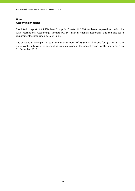# **Note 1 Accounting principles**

The interim report of AS SEB Pank Group for Quarter III 2016 has been prepared in conformity with International Accounting Standard IAS 34 "Interim Financial Reporting" and the disclosure requirements, established by Eesti Pank.

The accounting principles, used in the interim report of AS SEB Pank Group for Quarter III 2016 are in conformity with the accounting principles used in the annual report for the year ended on 31 December 2015.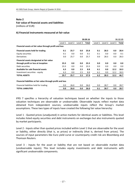**Fair value of financial assets and liabilities**

(millions of EUR)

## **A) Financial instruments measured at fair value**

|                                                             |         | 30.09.16 |         |       |         | 31.12.15 |         |       |
|-------------------------------------------------------------|---------|----------|---------|-------|---------|----------|---------|-------|
|                                                             | Level 1 | Level 2  | Level 3 | Total | Level 1 | Level 2  | Level 3 | Total |
| Financial assets at fair value through profit and loss      |         |          |         |       |         |          |         |       |
| Financial assets held for trading                           | 0.1     | 25.7     | 0.0     | 25.8  | 0.1     | 28.3     | 0.0     | 28.4  |
| Equity securities                                           | 0.1     | 0.0      | 0.0     | 0.1   | 0.1     | 0.0      | 0.0     | 0.1   |
| Derivatives                                                 | 0.0     | 25.7     | $0.0\,$ | 25.7  | 0.0     | 28.3     | 0.0     | 28.3  |
| Financial assets designated at fair value                   |         |          |         |       |         |          |         |       |
| through profit or loss at inception                         | 23.3    | 0.0      | 0.0     | 23.3  | 0.0     | 0.0      | 0.0     | 0.0   |
| Debt securities                                             | 23.3    | 0.0      | 0.0     | 23.3  | 0.0     | 0.0      | 0.0     | 0.0   |
| Available for sale financial assets                         | 6.3     | 0.0      | 2.5     | 8.8   | 6.1     | 0.0      | 12.2    | 18.3  |
| Investment securities - equity                              | 6.3     | 0.0      | 2.5     | 8.8   | 6.1     | 0.0      | 12.2    | 18.3  |
| <b>TOTAL ASSETS</b>                                         | 29.7    | 25.7     | 2.5     | 57.9  | 6.2     | 28.3     | 12.2    | 46.7  |
| Financial liabilities at fair value through profit and loss |         |          |         |       |         |          |         |       |
| Financial liabilities held for trading                      | 0.0     | 26.0     | 0.0     | 26.0  | 0.0     | 28.7     | 0.0     | 28.7  |
| <b>TOTAL LIABILITIES</b>                                    | 0.0     | 26.0     | 0.0     | 26.0  | 0.1     | 28.7     | 0.0     | 28.7  |

IFRS 7 specifies a hierarchy of valuation techniques based on whether the inputs to those valuation techniques are observable or unobservable. Observable inputs reflect market data obtained from independent sources; unobservable inputs reflect the Group's market assumptions. These two types of inputs have created the following fair value hierarchy:

Level 1 ‐ Quoted prices (unadjusted) in active markets for identical assets or liabilities. This level includes listed equity securities and debt instruments on exchanges but also instruments quoted by market participants.

Level 2 ‐ Inputs other than quoted prices included within Level 1 that are observable for the asset or liability, either directly (that is, as prices) or indirectly (that is, derived from prices). The sources of input parameters like Euro yield curve or counterparty credit risk are Bloomberg and Thomson Reuters.

Level 3 - Inputs for the asset or liability that are not based on observable market data (unobservable inputs). This level includes equity investments and debt instruments with significant unobservable components.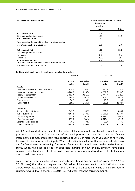| <b>Reconciliation of Level 3 Items</b>                     | Available-for-sale financial assets  |         |
|------------------------------------------------------------|--------------------------------------|---------|
|                                                            | Investment<br>securities -<br>equity | Total   |
|                                                            |                                      |         |
| At 1 January 2015                                          | 0.1                                  | 0.1     |
| Other comprehensive income                                 | 12.1                                 | 12.1    |
| At 31 December 2015                                        | 12.2                                 | 12.2    |
| Total losses for the period included in profit or loss for |                                      |         |
| assets/liabilities held at 31.12.15                        | 0.0                                  | 0.0     |
| At 1 January 2016                                          | 12.2                                 | 12.2    |
| Other comprehensive income                                 | 0.1                                  | 0.1     |
| Purchases                                                  | 2.3                                  | 2.3     |
| Settlements                                                | $-12.1$                              | $-12.1$ |
| At 30 September 2016                                       | 2.5                                  | 2.5     |
| Total losses for the period included in profit or loss for |                                      |         |
| assets/liabilities held at 30.09.16                        | 0.0                                  | 0.0     |

## **B) Financial instruments not measured at fair value**

|                                           | 30.09.16          |                        | 31.12.15          |                        |  |
|-------------------------------------------|-------------------|------------------------|-------------------|------------------------|--|
|                                           | Carrying<br>value | Fair value,<br>Level 3 | Carrying<br>value | Fair value,<br>Level 3 |  |
| <b>ASSETS</b>                             |                   |                        |                   |                        |  |
| Loans and advances to credit institutions | 928.2             | 928.2                  | 392.5             | 392.5                  |  |
| Loans and advances to customers           | 4 2 6 0.2         | 4 187.6                | 4 0 9 6.3         | 3 960.9                |  |
| Loans to Corporates                       | 2 143.8           | 2 145.9                | 2077.0            | 2079.5                 |  |
| Loans to households                       | 2 116.4           | 2041.7                 | 2019.3            | 1881.4                 |  |
| Other assets                              | 30.3              | 30.3                   | 29.0              | 29.0                   |  |
| <b>TOTAL ASSETS</b>                       | 5 2 18.7          | 5 1 4 6 . 1            | 4 5 1 7 .8        | 4 3 8 2.4              |  |
| <b>LIABILITIES</b>                        |                   |                        |                   |                        |  |
| Due to credit institutions                | 942.6             | 942.5                  | 888.6             | 888.2                  |  |
| Due to customers                          | 3 5 6 7 . 1       | 3 5 7 0 . 2            | 3 3 1 6 .1        | 3 3 1 8 .4             |  |
| Due to Corporates                         | 2040.6            | 2043.8                 | 1884.8            | 1886.9                 |  |
| Due to households                         | 1 5 2 6 . 5       | 1526.4                 | 1 431.3           | 1 431.5                |  |
| <b>Other financial liabilities</b>        | 78.2              | 78.2                   | 67.7              | 67.7                   |  |
| <b>TOTAL LIABILITIES</b>                  | 4587.9            | 4 5 9 0.9              | 4 272.4           | 4 2 7 4 . 3            |  |

AS SEB Pank conducts assessment of fair value of financial assets and liabilities which are not presented in the Group's statement of financial position at their fair value. All finance instruments not measured at fair value specified at Level 3 in hierarchy of valuation of fair value, because of using unobservable inputs. When calculating fair value for floating interest rate loans and for fixed-interest rate lending, future cash flows are discounted based on the market interest curve, which has been adjusted for applicable margins of new lending. Similarly have been calculated also fixed‐interest rate deposits, floating interest rate and fixed‐interest rate balances due to credit institutions.

As of reporting date fair value of loans and advances to customers was 1.7% lower (31.12.2015: 3.31% lower) than the carrying amount. Fair value of balances due to credit institutions was 0.01% lower (31.12.2015: 0.04% lower) than the carrying amount. Fair value of balances due to customers was 0.09% higher (31.12.2015: 0.07% higher) than the carrying amount.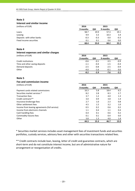## **Interest and similar income**

|  | (millions of EUP |  |
|--|------------------|--|
|  |                  |  |

| (millions of EUR)         | 2016     |        | 2015     |        |
|---------------------------|----------|--------|----------|--------|
|                           | 9 months | QIII   | 9 months | QIII   |
| Loans                     | 58.7     | 19.9   | 57.3     | 19.1   |
| Leasing                   | 9.9      | 3.3    | 10.3     | 3.4    |
| Deposits with other banks | $-0.3$   | $-0.3$ | 0.0      | $-0.3$ |
| Fixed income securities   | 0.1      | 0.1    | 0.6      | 0.0    |
|                           | 68.4     | 23.0   | 68.2     | 22.2   |

## **Note 4**

# **Interest expenses and similar charges**

| (millions of EUR)              | 2016     |        | 2015     |        |
|--------------------------------|----------|--------|----------|--------|
|                                | 9 months | QIII   | 9 months | QIII   |
| Credit institutions            | $-0.6$   | $-0.1$ | $-3.5$   | $-0.9$ |
| Time and other saving deposits | $-1.1$   | $-0.4$ | $-1.5$   | $-0.4$ |
| Demand deposits                | $-2.5$   | $-0.8$ | $-2.5$   | $-0.9$ |
| Other                          | $-4.0$   | $-1.6$ | $-0.1$   | 0.0    |
|                                | -8.2     | $-2.9$ | -7.6     | $-2.2$ |

## **Note 5**

## **Fee and commission income**

(millions of EUR) **2016 2015**

|                                               | 9 months | QIII | 9 months | QIII |
|-----------------------------------------------|----------|------|----------|------|
| Payment cards related commissions             | 16.3     | 5.8  | 18.4     | 6.5  |
| Securities market services *                  | 8.2      | 2.8  | 8.3      | 2.7  |
| <b>Transaction fees</b>                       | 3.7      | 1.2  | 4.0      | 1.3  |
| Credit contracts**                            | 3.0      | 0.9  | 3.8      | 1.4  |
| Insurance brokerage fees                      | 2.7      | 1.0  | 2.3      | 0.8  |
| Other settlement fees                         | 4.5      | 1.5  | 3.2      | 1.0  |
| Income from leasing agreements (full service) | 0.5      | 0.2  | 0.6      | 0.2  |
| Income from electronic channels               | 1.1      | 0.4  | 1.1      | 0.4  |
| Cash handling fees                            | 0.4      | 0.1  | 0.6      | 0.2  |
| Commodity futures fees                        | 0.1      | 0.1  | 0.4      | 0.0  |
| Other                                         | 3.8      | 1.3  | 4.0      | 1.4  |
|                                               | 44.3     | 15.3 | 46.7     | 15.9 |

\* Securities market services includes asset management fees of investment funds and securities portfolios, custody services, advisory fees and other with securities transactions related fees.

\*\* Credit contracts include loan, leasing, letter of credit and guarantee contracts, which are short-term and do not constitute interest income, but are of administrative nature for arrangement or reorganisation of credits.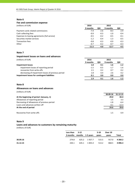## **Fee and commission expense**

| (millions of EUR)                             | 2016     |        | 2015     |        |
|-----------------------------------------------|----------|--------|----------|--------|
|                                               | 9 months | QIII   | 9 months | QIII   |
| Payment cards related commissions             | $-7.4$   | $-2.6$ | $-8.3$   | $-2.9$ |
| Cash collecting fees                          | $-0.9$   | $-0.3$ | $-1.0$   | $-0.4$ |
| Expenses to leasing agreements (full service) | $-0.5$   | $-0.2$ | $-0.5$   | $-0.1$ |
| Securities market services                    | $-1.2$   | $-0.4$ | $-1.3$   | $-0.5$ |
| <b>Transaction fees</b>                       | $-0.8$   | $-0.3$ | $-0.9$   | $-0.3$ |
| Other                                         | $-0.7$   | $-0.2$ | $-0.7$   | $-0.3$ |
|                                               | $-11.5$  | $-4.0$ | $-12.7$  | $-4.5$ |

## **Note 7**

## **Impairment losses on loans and advances**

| (millions of EUR)                                  | 2016     |        | 2015     |        |
|----------------------------------------------------|----------|--------|----------|--------|
|                                                    | 9 months | QIII   | 9 months | QIII   |
| <b>Impairment losses</b>                           | 1.8      | 0.1    | 1.6      | $-1.2$ |
| impairment losses of reporting period              | $-1.5$   | $-0.5$ | $-1.7$   | $-1.6$ |
| recoveries from write-offs                         | 1.5      | 0.2    | 0.7      | 0.2    |
| decreasing of impairment losses of previous period | 1.8      | 0.4    | 2.6      | 0.2    |
| Impairment losses for contingent liabilities       | 0.1      | 0.0    | 0.0      | 0.0    |
|                                                    | 1.9      | 0.1    | 1.6      | $-1.2$ |

## **Note 8**

## **Allowances on loans and advances**

(millions of EUR)

|                                             | 30.09.16 | 31.12.15 |
|---------------------------------------------|----------|----------|
| At the beginning of period (January, 1)     | 29.0     | 44.4     |
| Allowances of reporting period              | 1.5      | 3.3      |
| Decreasing of allowances of previous period | $-1.8$   | $-6.4$   |
| Loans and advances written off              | $-4.1$   | $-12.3$  |
| At the end of period                        | 24.6     | 29.0     |
| Recoveries from write-offs                  | 1.5      | 0.9      |

## **Note 9**

# **Loans and advances to customers by remaining maturity**

(millions of EUR)

|          | Less than $3-12$          |       |              | 5-10  | Over 10 |            |
|----------|---------------------------|-------|--------------|-------|---------|------------|
|          | 3 months months 1-5 years |       |              | vears | vears   | Total      |
| 30.09.16 | 274.8                     |       | 625.2 1927.7 | 515.5 | 917.0   | 4 260.2    |
| 31.12.15 | 244.1                     | 635.1 | 1 835.4      | 513.2 | 868.5   | 4 0 9 6 .3 |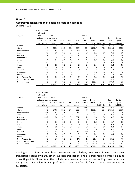## **Geographic concentration of financial assets and liabilities**

(millions of EUR)

|                      | 1 2 1 7 .0     | 4 2 6 0.2   | 58.7    | 43.7   | 5 5 7 9 . 6 | 942.6    | 3 567.1     | 104.3        | 4 614.0     | 1059.8      |
|----------------------|----------------|-------------|---------|--------|-------------|----------|-------------|--------------|-------------|-------------|
| Other countries      | 5.2            | 0.7         | 0.0     | 0.4    | 6.3         | 0.0      | 180.5       | 0.4          | 180.9       | 6.3         |
| Other Eastern Europe | 12.5           | 0.3         | 23.3    | 0.2    | 36.3        | 1.2      | 37.8        | 0.1          | 39.1        | 0.3         |
| Other Western Europe | 3.7            | 5.9         | 0.0     | 0.1    | 9.7         | 0.2      | 48.0        | 0.2          | 48.4        | 7.5         |
| Netherlands          | 0.0            | 0.1         | 0.0     | 0.0    | 0.1         | 0.0      | 1.3         | 0.0          | 1.3         | 14.3        |
| Luxembourg           | 0.2            | 0.0         | 0.0     | 0.0    | 0.2         | 0.7      | 0.0         | 0.0          | 0.7         | 0.0         |
| Lithuania            | 0.3            | 8.1         | 0.0     | 0.5    | 8.9         | 24.5     | 2.7         | 0.0          | 27.2        | 0.4         |
| Latvia               | 0.0            | 0.0         | 0.0     | 1.8    | 1.8         | 0.0      | 0.0         | 0.0          | 0.0         | 0.0         |
| Finland              | 0.1            | 3.2         | 0.0     | 0.0    | 3.3         | 0.0      | 9.4         | 0.0          | 9.4         | 4.1         |
| Japan                | 0.0            | 0.1         | 0.0     | 0.0    | 0.1         | 0.0      | 0.5         | 0.0          | 0.5         | 0.0         |
| Canada               | 0.0            | 0.1         | 0.0     | 0.0    | 0.1         | 0.1      | 0.7         | 0.0          | 0.8         | 0.0         |
| <b>United States</b> | 1.2            | 0.6         | 2.4     | 1.2    | 5.4         | 1.2      | 10.4        | 0.0          | 11.6        | 0.0         |
| Germany              | 1.7            | 0.5         | 0.0     | 0.0    | 2.2         | 3.2      | 3.5         | 0.2          | 6.9         | 5.0         |
| Russia               | 0.2            | 0.0         | 0.0     | 0.1    | 0.3         | 0.0      | 0.1         | 0.0          | 0.1         | 0.0         |
| United Kingdom       | 24.6           | 1.8         | 0.0     | 0.0    | 26.4        | 2.1      | 31.3        | 0.2          | 33.6        | 0.0         |
| Estonia              | 289.4          | 4 2 3 8 . 0 | 31.8    | 38.5   | 4 5 9 7 . 7 | 23.0     | 3 2 3 2 . 7 | 75.9         | 3 3 3 1 . 6 | 1020.3      |
| Sweden               | 877.9          | 0.8         | 1.2     | 0.9    | 880.8       | 886.4    | 8.2         | 27.3         | 921.9       | 1.6         |
|                      | institutions   | mers        | ties    | assets | assets      | tions    | mers        | liabili-ties | ties        | liabilities |
|                      | to credit      | to custo-   | Securi- | Other  | Total       | institu- | custo-      | Other        | liabili-    | gent        |
|                      | and advances   | advances    |         |        |             | credit   | Due to      |              | Total       | Contin-     |
| 30.09.16             | bank, loans    | Loans and   |         |        |             | Due to   |             |              |             |             |
|                      | with central   |             |         |        |             |          |             |              |             |             |
|                      | Cash, balances |             |         |        |             |          |             |              |             |             |
|                      |                |             |         |        |             |          |             |              |             |             |

|                      | Cash, balances |            |         |        |         |          |             |              |             |             |
|----------------------|----------------|------------|---------|--------|---------|----------|-------------|--------------|-------------|-------------|
|                      | with central   |            |         |        |         |          |             |              |             |             |
| 31.12.15             | bank, loans    | Loans and  |         |        |         | Due to   |             |              |             |             |
|                      | and advances   | advances   |         |        |         | credit   | Due to      |              | Total       | Contin-     |
|                      | to credit      | to custo-  | Securi- | Other  | Total   | institu- | custo-      | Other        | liabili-    | gent        |
|                      | institutions   | mers       | ties    | assets | assets  | tions    | mers        | liabili-ties | ties        | liabilities |
| Sweden               | 13.5           | 0.5        | 1.7     | 0.5    | 16.2    | 791.1    | 17.2        | 27.8         | 836.1       | 1.5         |
| Estonia              | 658.3          | 4 0 7 4 .3 | 33.6    | 37.0   | 4 803.2 | 7.7      | 2 975.4     | 68.4         | 3 0 5 1 . 5 | 1055.8      |
| United Kingdom       | 0.7            | 1.3        | 12.1    | 0.1    | 14.2    | 3.2      | 28.2        | 0.1          | 31.5        | 0.0         |
| Russia               | 0.2            | 0.0        | 0.0     | 0.0    | 0.2     | 0.0      | 0.1         | 0.0          | 0.1         | 0.0         |
| Germany              | 348.2          | 3.4        | 0.0     | 0.0    | 351.6   | 7.3      | 1.4         | 0.0          | 8.7         | 1.8         |
| <b>United States</b> | 1.4            | 0.2        | 0.0     | 0.0    | 1.6     | 0.0      | 17.0        | 0.0          | 17.0        | 0.0         |
| Canada               | 0.0            | 0.0        | 0.0     | 0.0    | 0.0     | 0.1      | 0.6         | 0.0          | 0.7         | 0.0         |
| Japan                | 0.0            | 0.0        | 0.0     | 0.0    | 0.0     | 0.0      | 0.5         | 0.0          | 0.5         | 0.0         |
| Finland              | 4.4            | 0.9        | 0.0     | 0.0    | 5.3     | 0.0      | 9.3         | 0.0          | 9.3         | 3.4         |
| Latvia               | 0.0            | 0.0        | 0.0     | 0.6    | 0.6     | 0.0      | 0.0         | 0.0          | 0.0         | 0.0         |
| Lithuania            | 4.8            | 8.4        | 0.0     | 0.2    | 13.4    | 67.9     | 4.1         | 0.1          | 72.1        | 0.4         |
| Luxembourg           | 1.9            | 0.0        | 0.0     | 0.2    | 2.1     | 0.6      | 0.1         | 0.2          | 0.9         | 0.0         |
| Netherlands          | 0.0            | 0.0        | 0.0     | 0.0    | 0.0     | 0.0      | 2.0         | 0.0          | 2.0         | 0.0         |
| Other Western Europe | 7.9            | 6.0        | 0.0     | 0.3    | 14.2    | 1.5      | 26.5        | 0.1          | 28.1        | 7.0         |
| Other Eastern Europe | 6.1            | 0.9        | 0.0     | 0.1    | 7.1     | 9.2      | 45.9        | 0.1          | 55.2        | 0.0         |
| Other countries      | 2.6            | 0.4        | 0.0     | 1.2    | 4.2     | 0.0      | 187.8       | 0.0          | 187.8       | 4.2         |
|                      | 1050.0         | 4 0 9 6.3  | 47.4    | 40.2   | 5 233.9 | 888.6    | 3 3 1 6 . 1 | 96.8         | 4 301.5     | 1 074.1     |

Contingent liabilities include here guarantees and pledges, loan commitments, revocable transactions, stand‐by loans, other revocable transactions and are presented in contract amount of contingent liabilities. Securities include here financial assets held for trading, financial assets designated at fair value through profit or loss, available‐for‐sale financial assets, investments in associates.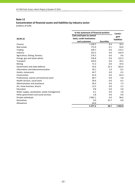# **Concentration of financial assets and liabilities by industry sector**

(millions of EUR)

|                                              | In the statement of financial position | Contin-           |                    |
|----------------------------------------------|----------------------------------------|-------------------|--------------------|
|                                              | <b>Cash and loans to central</b>       |                   | gent               |
| 30.09.16                                     | bank, credit institutions              |                   | <b>liabilities</b> |
|                                              | and customers                          | <b>Securities</b> |                    |
| Finance                                      | 1 240.5                                | 8.6               | 39.2               |
| Real estate                                  | 772.9                                  | 0.1               | 54.0               |
| <b>Trading</b>                               | 339.7                                  | 0.0               | 175.5              |
| Industry                                     | 253.2                                  | 0.0               | 142.9              |
| Agriculture, fishing, forestry               | 176.3                                  | 0.0               | 9.6                |
| Energy, gas and steam plants                 | 126.8                                  | 0.0               | 122.3              |
| Transport                                    | 120.0                                  | 0.0               | 35.5               |
| Mining                                       | 71.3                                   | 0.0               | 19.4               |
| Government and state defence                 | 55.6                                   | 23.3              | 262.6              |
| Information and telecommunication            | 50.1                                   | 1.0               | 8.3                |
| Hotels, restaurants                          | 43.7                                   | 0.0               | 0.3                |
| Construction                                 | 41.0                                   | 0.0               | 63.4               |
| Professional, science and technical work     | 40.7                                   | 0.0               | 5.8                |
| Health services, social work                 | 39.4                                   | 0.0               | 6.5                |
| Administration and assistance                | 34.3                                   | 0.0               | 7.3                |
| Art, show business, leisure                  | 12.5                                   | 0.0               | 2.2                |
| Education                                    | 9.8                                    | 0.0               | 5.8                |
| Water supply, canalisation, waste management | 6.1                                    | 0.0               | 1.8                |
| Other government and social services         | 5.8                                    | 0.0               | 0.8                |
| Private individuals                          | 2 0 6 2 . 1                            | 0.0               | 96.6               |
| Derivatives                                  | 0.0                                    | 25.7              | 0.0                |
| Allowances                                   | $-24.6$                                |                   |                    |
|                                              | 5 4 7 7 . 2                            | 58.7              | 1059.8             |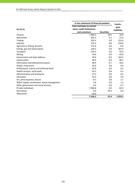| In the statement of financial position       |                           |                   |                    |  |  |
|----------------------------------------------|---------------------------|-------------------|--------------------|--|--|
|                                              | Cash and loans to central |                   | gent               |  |  |
| 31.12.15                                     | bank, credit institutions |                   | <b>liabilities</b> |  |  |
|                                              | and customers             | <b>Securities</b> |                    |  |  |
| Finance                                      | 1 0 6 6 .3                | 18.3              | 16.8               |  |  |
| Real estate                                  | 692.3                     | 0.1               | 27.6               |  |  |
| Trading                                      | 292.4                     | 0.0               | 215.6              |  |  |
| Industry                                     | 275.2                     | 0.0               | 144.9              |  |  |
| Agriculture, fishing, forestry               | 172.4                     | 0.0               | 8.9                |  |  |
| Energy, gas and steam plants                 | 149.2                     | 0.0               | 107.9              |  |  |
| Transport                                    | 124.5                     | 0.0               | 33.3               |  |  |
| Mining                                       | 74.6                      | 0.0               | 65.0               |  |  |
| Government and state defence                 | 70.4                      | 0.0               | 262.5              |  |  |
| Construction                                 | 49.4                      | 0.0               | 68.7               |  |  |
| Information and telecommunication            | 48.9                      | 0.7               | 10.6               |  |  |
| Hotels, restaurants                          | 43.9                      | 0.0               | 0.6                |  |  |
| Professional, science and technical work     | 43.8                      | 0.0               | 6.2                |  |  |
| Health services, social work                 | 43.3                      | 0.0               | 6.5                |  |  |
| Administration and assistance                | 27.3                      | 0.0               | 6.5                |  |  |
| Education                                    | 13.5                      | 0.0               | 5.8                |  |  |
| Art, show business, leisure                  | 8.7                       | 0.0               | 1.7                |  |  |
| Water supply, canalisation, waste management | 5.8                       | 0.0               | 1.4                |  |  |
| Other government and social services         | 6.6                       | 0.0               | 0.7                |  |  |
| Private individuals                          | 1966.8                    | 0.0               | 82.9               |  |  |
| Derivatives                                  | 0.0                       | 28.3              | 0.0                |  |  |
| Allowances                                   | $-29.0$                   |                   |                    |  |  |
|                                              | 5 1 4 6 .3                | 47.4              | 1 0 7 4 . 1        |  |  |